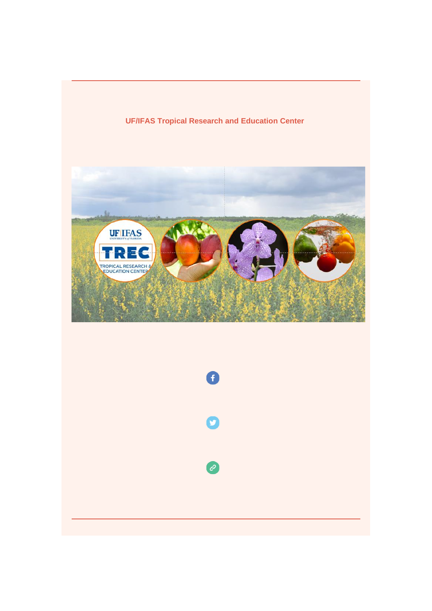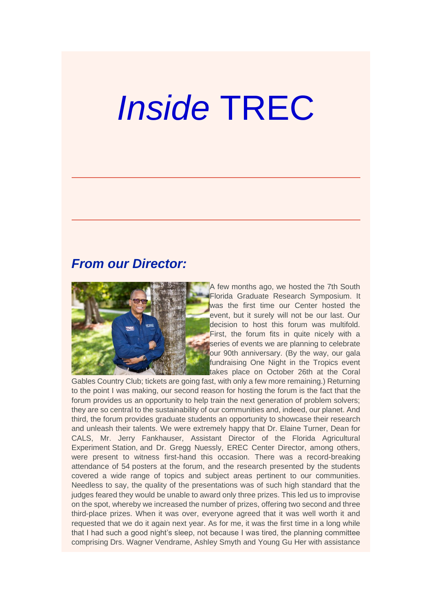# *Inside* TREC

## *From our Director:*



A few months ago, we hosted the 7th South Florida Graduate Research Symposium. It was the first time our Center hosted the event, but it surely will not be our last. Our decision to host this forum was multifold. First, the forum fits in quite nicely with a series of events we are planning to celebrate our 90th anniversary. (By the way, our gala fundraising One Night in the Tropics event takes place on October 26th at the Coral

Gables Country Club; tickets are going fast, with only a few more remaining.) Returning to the point I was making, our second reason for hosting the forum is the fact that the forum provides us an opportunity to help train the next generation of problem solvers; they are so central to the sustainability of our communities and, indeed, our planet. And third, the forum provides graduate students an opportunity to showcase their research and unleash their talents. We were extremely happy that Dr. Elaine Turner, Dean for CALS, Mr. Jerry Fankhauser, Assistant Director of the Florida Agricultural Experiment Station, and Dr. Gregg Nuessly, EREC Center Director, among others, were present to witness first-hand this occasion. There was a record-breaking attendance of 54 posters at the forum, and the research presented by the students covered a wide range of topics and subject areas pertinent to our communities. Needless to say, the quality of the presentations was of such high standard that the judges feared they would be unable to award only three prizes. This led us to improvise on the spot, whereby we increased the number of prizes, offering two second and three third-place prizes. When it was over, everyone agreed that it was well worth it and requested that we do it again next year. As for me, it was the first time in a long while that I had such a good night's sleep, not because I was tired, the planning committee comprising Drs. Wagner Vendrame, Ashley Smyth and Young Gu Her with assistance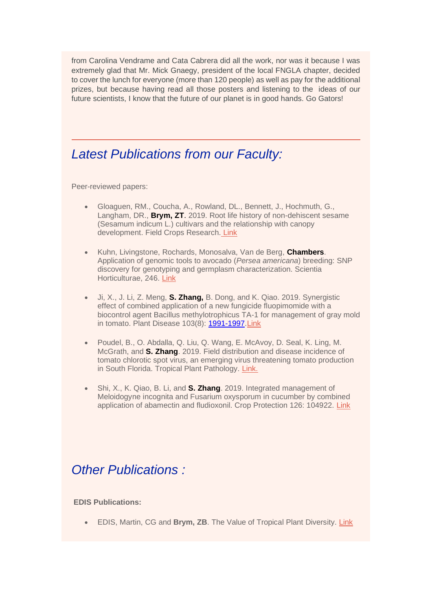from Carolina Vendrame and Cata Cabrera did all the work, nor was it because I was extremely glad that Mr. Mick Gnaegy, president of the local FNGLA chapter, decided to cover the lunch for everyone (more than 120 people) as well as pay for the additional prizes, but because having read all those posters and listening to the ideas of our future scientists, I know that the future of our planet is in good hands. Go Gators!

## *Latest Publications from our Faculty:*

Peer-reviewed papers:

- Gloaguen, RM., Coucha, A., Rowland, DL., Bennett, J., Hochmuth, G., Langham, DR., **Brym, ZT**. 2019. Root life history of non-dehiscent sesame (Sesamum indicum L.) cultivars and the relationship with canopy development. Field Crops Research. [Link](https://urldefense.proofpoint.com/v2/url?u=https-3A__doi.org_10.1016_j.fcr.2019.107560&d=DwMFaQ&c=sJ6xIWYx-zLMB3EPkvcnVg&r=rzU0NB0HqvthRtOBlV8_TTwhreRj-rncl__GLjcSjeQ&m=b1wCt-rw-5n3WWSo3YArzio9NWetitbP82xo_BTM_FQ&s=bnBsWWHC0u-X8mSGFSrDac2zrzBSubTDhkkl1PRiJRU&e=)
- Kuhn, Livingstone, Rochards, Monosalva, Van de Berg, **Chambers**. Application of genomic tools to avocado (*Persea americana*) breeding: SNP discovery for genotyping and germplasm characterization. Scientia Horticulturae, 246. [Link](https://urldefense.proofpoint.com/v2/url?u=https-3A__www.sciencedirect.com_science_article_pii_S0304423818307064&d=DwMFaQ&c=sJ6xIWYx-zLMB3EPkvcnVg&r=rzU0NB0HqvthRtOBlV8_TTwhreRj-rncl__GLjcSjeQ&m=b1wCt-rw-5n3WWSo3YArzio9NWetitbP82xo_BTM_FQ&s=sF-BCk34gOm2BGmLl3Uj7S_DEYEf3BPY8O6HC1oy238&e=)
- Ji, X., J. Li, Z. Meng, **S. Zhang,** B. Dong, and K. Qiao. 2019. Synergistic effect of combined application of a new fungicide fluopimomide with a biocontrol agent Bacillus methylotrophicus TA-1 for management of gray mold in tomato. Plant Disease 103(8): [1991-1997.](tel:1991-1997)[Li](https://urldefense.proofpoint.com/v2/url?u=https-3A__www.mdpi.com_2075-2D1729_9_1_2&d=DwMFaQ&c=sJ6xIWYx-zLMB3EPkvcnVg&r=rzU0NB0HqvthRtOBlV8_TTwhreRj-rncl__GLjcSjeQ&m=b1wCt-rw-5n3WWSo3YArzio9NWetitbP82xo_BTM_FQ&s=Sq6lqIeFCGEdqekFYvEtupoQeZ8N6brKoy8jQl_LFFg&e=)[nk](https://urldefense.proofpoint.com/v2/url?u=https-3A__apsjournals.apsnet.org_doi_abs_10.1094_PDIS-2D01-2D19-2D0143-2DRE&d=DwMFaQ&c=sJ6xIWYx-zLMB3EPkvcnVg&r=rzU0NB0HqvthRtOBlV8_TTwhreRj-rncl__GLjcSjeQ&m=b1wCt-rw-5n3WWSo3YArzio9NWetitbP82xo_BTM_FQ&s=57iRqYw3JScCz_w_0NUXhLk4TLMYRcq9v_hLG0LrgXo&e=)
- Poudel, B., O. Abdalla, Q. Liu, Q. Wang, E. McAvoy, D. Seal, K. Ling, M. McGrath, and **S. Zhang**. 2019. Field distribution and disease incidence of tomato chlorotic spot virus, an emerging virus threatening tomato production in South Florida. Tropical Plant Pathology. [Link.](https://urldefense.proofpoint.com/v2/url?u=https-3A__link.springer.com_article_10.1007_s40858-2D019-2D00305-2Dz&d=DwMFaQ&c=sJ6xIWYx-zLMB3EPkvcnVg&r=rzU0NB0HqvthRtOBlV8_TTwhreRj-rncl__GLjcSjeQ&m=b1wCt-rw-5n3WWSo3YArzio9NWetitbP82xo_BTM_FQ&s=Ad1ifk20VNZ9gqlFHxX-84bZPZGGW-LunEYTzNwG9SI&e=)
- Shi, X., K. Qiao, B. Li, and **S. Zhang**. 2019. Integrated management of Meloidogyne incognita and Fusarium oxysporum in cucumber by combined application of abamectin and fludioxonil. Crop Protection 126: 104922. [Link](https://urldefense.proofpoint.com/v2/url?u=https-3A__www.sciencedirect.com_science_article_pii_S0261219419302686&d=DwMFaQ&c=sJ6xIWYx-zLMB3EPkvcnVg&r=rzU0NB0HqvthRtOBlV8_TTwhreRj-rncl__GLjcSjeQ&m=b1wCt-rw-5n3WWSo3YArzio9NWetitbP82xo_BTM_FQ&s=rZm3qIUDIs289kv8oMtXzJ78f1U8lhU5rPk-QGf_viI&e=)

# *Other Publications :*

#### **EDIS Publications:**

• EDIS, Martin, CG and **Brym, ZB**. The Value of Tropical Plant Diversity. [Link](http://edis.ifas.ufl.edu/ag435)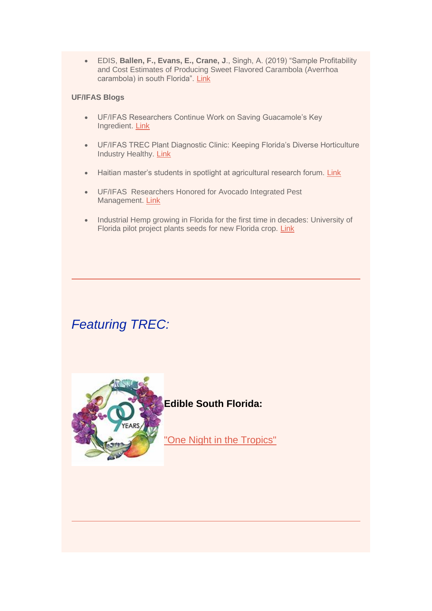• EDIS, **Ballen, F., Evans, E., Crane, J**., Singh, A. (2019) "Sample Profitability and Cost Estimates of Producing Sweet Flavored Carambola (Averrhoa carambola) in south Florida". [Link](http://edis.ifas.ufl.edu/fe1049)

#### **UF/IFAS Blogs**

- UF/IFAS Researchers Continue Work on Saving Guacamole's Key Ingredient. [Link](http://blogs.ifas.ufl.edu/news/2019/09/13/uf-ifas-researchers-continue-work-on-saving-guacamoles-key-ingredient/?fbclid=IwAR2FwiN1jJLc-l8BBwDk97FQaxDoQ-GNhXmLYApvRo6epF5sP8dbHzwiB60)
- UF/IFAS TREC Plant Diagnostic Clinic: Keeping Florida's Diverse Horticulture Industry Healthy. **[Link](http://blogs.ifas.ufl.edu/news/2019/09/24/uf-ifas-trec-plant-diagnostic-clinic-keeping-floridas-diverse-horticulture-industry-healthy/)**
- Haitian master's students in spotlight at agricultural research forum. [Link](http://blogs.ifas.ufl.edu/area/2019/08/08/haitian-masters-students-in-spotlight-at-agricultural-research-forum/)
- UF/IFAS Researchers Honored for Avocado Integrated Pest Management. [Link](http://blogs.ifas.ufl.edu/news/2019/07/30/uf-ifas-researchers-honored-for-avocado-integrated-pest-management/)
- Industrial Hemp growing in Florida for the first time in decades: University of Florida pilot project plants seeds for new Florida crop. [Link](http://blogs.ifas.ufl.edu/news/2019/06/20/industrial-hemp-growing-in-florida-for-first-time-in-decades-university-of-florida-pilot-project-plants-seeds-for-new-florida-crop/)

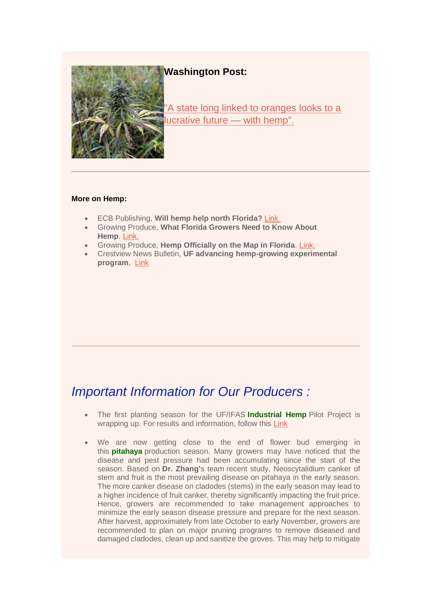**Washington Post:**



["A state long linked to oranges looks to a](https://urldefense.proofpoint.com/v2/url?u=https-3A__www.washingtonpost.com_national_a-2Dstate-2Dlong-2Dlinked-2Dto-2Doranges-2Dlooks-2Dto-2Da-2Dlucrative-2Dfuture-2D-2Dwith-2Dhemp_2019_07_07_de195aac-2D9f71-2D11e9-2D9ed4-2Dc9089972ad5a-5Fstory.html&d=DwMFaQ&c=sJ6xIWYx-zLMB3EPkvcnVg&r=rzU0NB0HqvthRtOBlV8_TTwhreRj-rncl__GLjcSjeQ&m=b1wCt-rw-5n3WWSo3YArzio9NWetitbP82xo_BTM_FQ&s=6PAUe0DxRxKX5qGnjvG_FEcUfYFvhZLqZYH_xEnzWqk&e=)  [lucrative future —](https://urldefense.proofpoint.com/v2/url?u=https-3A__www.washingtonpost.com_national_a-2Dstate-2Dlong-2Dlinked-2Dto-2Doranges-2Dlooks-2Dto-2Da-2Dlucrative-2Dfuture-2D-2Dwith-2Dhemp_2019_07_07_de195aac-2D9f71-2D11e9-2D9ed4-2Dc9089972ad5a-5Fstory.html&d=DwMFaQ&c=sJ6xIWYx-zLMB3EPkvcnVg&r=rzU0NB0HqvthRtOBlV8_TTwhreRj-rncl__GLjcSjeQ&m=b1wCt-rw-5n3WWSo3YArzio9NWetitbP82xo_BTM_FQ&s=6PAUe0DxRxKX5qGnjvG_FEcUfYFvhZLqZYH_xEnzWqk&e=) with hemp".

#### **More on Hemp:**

- ECB Publishing, **Will hemp help north Florida?** [Link](https://urldefense.proofpoint.com/v2/url?u=http-3A__www.ecbpublishing.com_will-2Dhemp-2Dhelp-2Dnorth-2Dflorida_&d=DwMFaQ&c=sJ6xIWYx-zLMB3EPkvcnVg&r=rzU0NB0HqvthRtOBlV8_TTwhreRj-rncl__GLjcSjeQ&m=b1wCt-rw-5n3WWSo3YArzio9NWetitbP82xo_BTM_FQ&s=mxSw-4KVBNHxDpMeEibQ8TL7pJGgoyBEW42jOQ1RLD0&e=)
- Growing Produce, **What Florida Growers Need to Know About Hemp**. [Link.](https://urldefense.proofpoint.com/v2/url?u=https-3A__www.growingproduce.com_farm-2Dmanagement_what-2Dflorida-2Dgrowers-2Dneed-2Dto-2Dknow-2Dabout-2Dhemp_&d=DwMFaQ&c=sJ6xIWYx-zLMB3EPkvcnVg&r=rzU0NB0HqvthRtOBlV8_TTwhreRj-rncl__GLjcSjeQ&m=b1wCt-rw-5n3WWSo3YArzio9NWetitbP82xo_BTM_FQ&s=M3AJPPMZaC-iSLdJYlqkGHlqY2-UQjSMJVRNUFhdsAs&e=)
- Growing Produce, **Hemp Officially on the Map in Florida**. [Link.](https://urldefense.proofpoint.com/v2/url?u=https-3A__www.growingproduce.com_citrus_hemp-2Dofficially-2Don-2Dthe-2Dmap-2Din-2Dflorida_&d=DwMFaQ&c=sJ6xIWYx-zLMB3EPkvcnVg&r=rzU0NB0HqvthRtOBlV8_TTwhreRj-rncl__GLjcSjeQ&m=b1wCt-rw-5n3WWSo3YArzio9NWetitbP82xo_BTM_FQ&s=uVSpra3XUM3HeTPWzspqdxMfEh8yVtc0zW4mPXt0tvY&e=)
- Crestview News Bulletin, **UF advancing hemp-growing experimental program**, [Link](https://urldefense.proofpoint.com/v2/url?u=https-3A__www.crestviewbulletin.com_news_20190627_uf-2Dadvancing-2Dhemp-2Dgrowing-2Dexperimental-2Dprogram&d=DwMFaQ&c=sJ6xIWYx-zLMB3EPkvcnVg&r=rzU0NB0HqvthRtOBlV8_TTwhreRj-rncl__GLjcSjeQ&m=b1wCt-rw-5n3WWSo3YArzio9NWetitbP82xo_BTM_FQ&s=dWdQNHbqT0jde-PepH7_PDymnKy6dEHZZLkdgMXlymo&e=)

# *Important Information for Our Producers :*

- The first planting season for the UF/IFAS **Industrial Hemp** Pilot Project is wrapping up. For results and information, follow this [Link](https://programs.ifas.ufl.edu/hemp/resources/)
- We are now getting close to the end of flower bud emerging in this **pitahaya** production season. Many growers may have noticed that the disease and pest pressure had been accumulating since the start of the season. Based on **Dr. Zhang'**s team recent study, Neoscytalidium canker of stem and fruit is the most prevailing disease on pitahaya in the early season. The more canker disease on cladodes (stems) in the early season may lead to a higher incidence of fruit canker, thereby significantly impacting the fruit price. Hence, growers are recommended to take management approaches to minimize the early season disease pressure and prepare for the next season. After harvest, approximately from late October to early November, growers are recommended to plan on major pruning programs to remove diseased and damaged cladodes, clean up and sanitize the groves. This may help to mitigate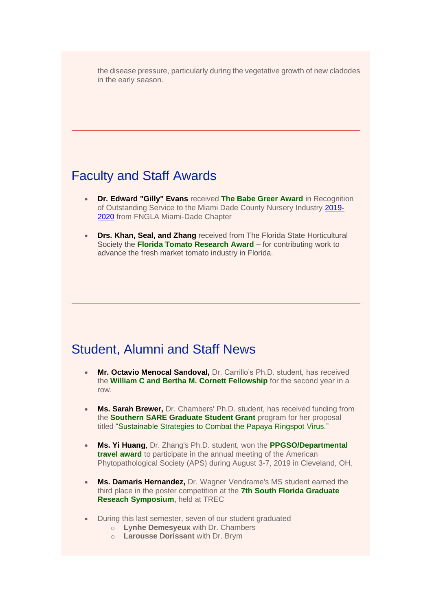the disease pressure, particularly during the vegetative growth of new cladodes in the early season.

## Faculty and Staff Awards

- **Dr. Edward "Gilly" Evans** received **The Babe Greer Award** in Recognition of Outstanding Service to the Miami Dade County Nursery Industry [2019-](tel:2019-2020) [2020](tel:2019-2020) from FNGLA Miami-Dade Chapter
- **Drs. Khan, Seal, and Zhang** received from The Florida State Horticultural Society the **Florida Tomato Research Award** – for contributing work to advance the fresh market tomato industry in Florida.

#### Student, Alumni and Staff News

- **Mr. Octavio Menocal Sandoval,** Dr. Carrillo's Ph.D. student, has received the **William C and Bertha M. Cornett Fellowship** for the second year in a row.
- **Ms. Sarah Brewer,** Dr. Chambers' Ph.D. student, has received funding from the **Southern SARE Graduate Student Grant** program for her proposal titled "Sustainable Strategies to Combat the Papaya Ringspot Virus."
- **Ms. Yi Huang**, Dr. Zhang's Ph.D. student, won the **PPGSO/Departmental travel award** to participate in the annual meeting of the American Phytopathological Society (APS) during August 3-7, 2019 in Cleveland, OH.
- **Ms. Damaris Hernandez,** Dr. Wagner Vendrame's MS student earned the third place in the poster competition at the **7th South Florida Graduate Reseach Symposium**, held at TREC
- During this last semester, seven of our student graduated
	- o **Lynhe Demesyeux** with Dr. Chambers
	- o **Larousse Dorissant** with Dr. Brym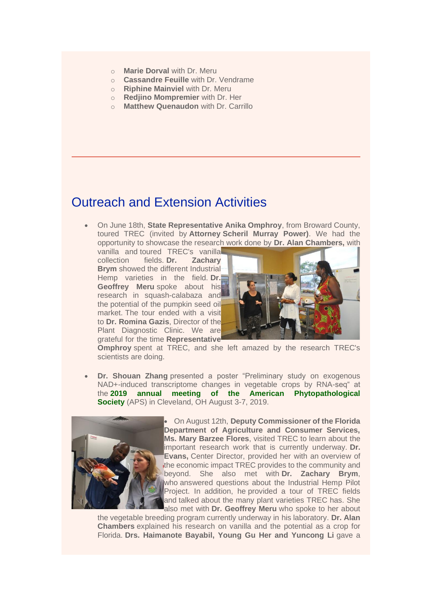- o **Marie Dorval** with Dr. Meru
- o **Cassandre Feuille** with Dr. Vendrame
- o **Riphine Mainviel** with Dr. Meru
- o **Redjino Mompremier** with Dr. Her
- o **Matthew Quenaudon** with Dr. Carrillo

## Outreach and Extension Activities

• On June 18th, **State Representative Anika Omphroy**, from Broward County, toured TREC (invited by **Attorney Scheril Murray Power)**. We had the opportunity to showcase the research work done by **Dr. Alan Chambers,** with

vanilla and toured TREC's vanilla collection fields. **Dr. Zachary Brym** showed the different Industrial-Hemp varieties in the field. **Dr. Geoffrey Meru** spoke about his research in squash-calabaza and the potential of the pumpkin seed oil market. The tour ended with a visit to **Dr. Romina Gazis**, Director of the Plant Diagnostic Clinic. We are grateful for the time **Representative** 



**Omphroy** spent at TREC, and she left amazed by the research TREC's scientists are doing.

• **Dr. Shouan Zhang** presented a poster "Preliminary study on exogenous NAD+-induced transcriptome changes in vegetable crops by RNA-seq" at the **2019 annual meeting of the American Phytopathological Society** (APS) in Cleveland, OH August 3-7, 2019.



• On August 12th, **Deputy Commissioner of the Florida Department of Agriculture and Consumer Services, Ms. Mary Barzee Flores**, visited TREC to learn about the important research work that is currently underway. **Dr. Evans,** Center Director, provided her with an overview of the economic impact TREC provides to the community and beyond. She also met with **Dr. Zachary Brym**, who answered questions about the Industrial Hemp Pilot Project. In addition, he provided a tour of TREC fields and talked about the many plant varieties TREC has. She also met with **Dr. Geoffrey Meru** who spoke to her about

the vegetable breeding program currently underway in his laboratory. **Dr. Alan Chambers** explained his research on vanilla and the potential as a crop for Florida. **Drs. Haimanote Bayabil, Young Gu Her and Yuncong Li** gave a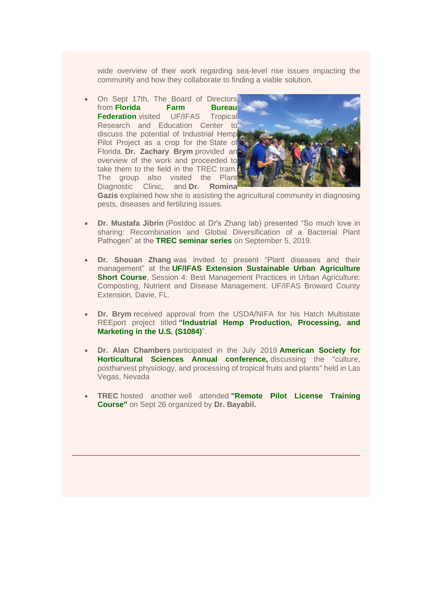wide overview of their work regarding sea-level rise issues impacting the community and how they collaborate to finding a viable solution.

• On Sept 17th, The Board of Directors from **Florida Farm Bureau Federation** visited UF/IFAS Tropical Research and Education Center to discuss the potential of Industrial Hemp Pilot Project as a crop for the State of Florida. **Dr. Zachary Brym** provided an overview of the work and proceeded to take them to the field in the TREC tram. The group also visited the Plant Diagnostic Clinic, and **Dr. Romina** 



**Gazis** explained how she is assisting the agricultural community in diagnosing pests, diseases and fertilizing issues.

- **Dr. Mustafa Jibrin** (Postdoc at Dr's Zhang lab) presented "So much love in sharing: Recombination and Global Diversification of a Bacterial Plant Pathogen" at the **TREC seminar series** on September 5, 2019.
- **Dr. Shouan Zhang** was invited to present "Plant diseases and their management" at the **UF/IFAS Extension Sustainable Urban Agriculture Short Course**, Session 4: Best Management Practices in Urban Agriculture: Composting, Nutrient and Disease Management. UF/IFAS Broward County Extension, Davie, FL.
- **Dr. Brym** received approval from the USDA/NIFA for his Hatch Multistate REEport project titled **"Industrial Hemp Production, Processing, and Marketing in the U.S. (S1084)**".
- **Dr. Alan Chambers** participated in the July 2019 **American Society for Horticultural Sciences Annual conference,** discussing the "culture, postharvest physiology, and processing of tropical fruits and plants" held in Las Vegas, Nevada
- **TREC** hosted another well attended **"Remote Pilot License Training Course"** on Sept 26 organized by **Dr. Bayabil.**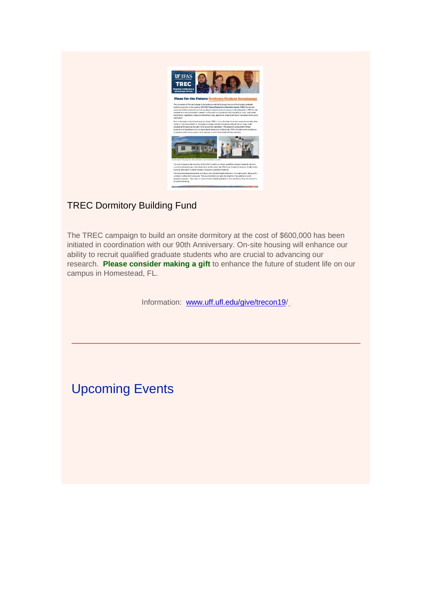

#### TREC Dormitory Building Fund

The TREC campaign to build an onsite dormitory at the cost of \$600,000 has been initiated in coordination with our 90th Anniversary. On-site housing will enhance our ability to recruit qualified graduate students who are crucial to advancing our research. **Please consider making a gift** to enhance the future of student life on our campus in Homestead, FL.

Information: [www.uff.ufl.edu/give/trecon19/](https://www.uff.ufl.edu/give/trecon19)

Upcoming Events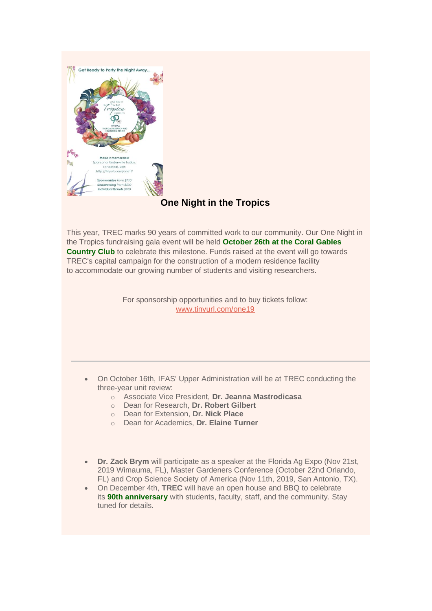

#### **One Night in the Tropics**

This year, TREC marks 90 years of committed work to our community. Our One Night in the Tropics fundraising gala event will be held **October 26th at the Coral Gables Country Club** to celebrate this milestone. Funds raised at the event will go towards TREC's capital campaign for the construction of a modern residence facility to accommodate our growing number of students and visiting researchers.

> For sponsorship opportunities and to buy tickets follow: [www.tinyurl.com/one19](https://urldefense.proofpoint.com/v2/url?u=http-3A__www.tinyurl.com_one19&d=DwMFaQ&c=sJ6xIWYx-zLMB3EPkvcnVg&r=rzU0NB0HqvthRtOBlV8_TTwhreRj-rncl__GLjcSjeQ&m=b1wCt-rw-5n3WWSo3YArzio9NWetitbP82xo_BTM_FQ&s=Oe9tmZB9D8H8NK0ZtOlbeCXMcLpx7pio1pgtWe4ON2U&e=)

- On October 16th, IFAS' Upper Administration will be at TREC conducting the three-year unit review:
	- o Associate Vice President, **Dr. Jeanna Mastrodicasa**
	- o Dean for Research, **Dr. Robert Gilbert**
	- o Dean for Extension, **Dr. Nick Place**
	- o Dean for Academics, **Dr. Elaine Turner**
- **Dr. Zack Brym** will participate as a speaker at the Florida Ag Expo (Nov 21st, 2019 Wimauma, FL), Master Gardeners Conference (October 22nd Orlando, FL) and Crop Science Society of America (Nov 11th, 2019, San Antonio, TX).
- On December 4th, **TREC** will have an open house and BBQ to celebrate its **90th anniversary** with students, faculty, staff, and the community. Stay tuned for details.